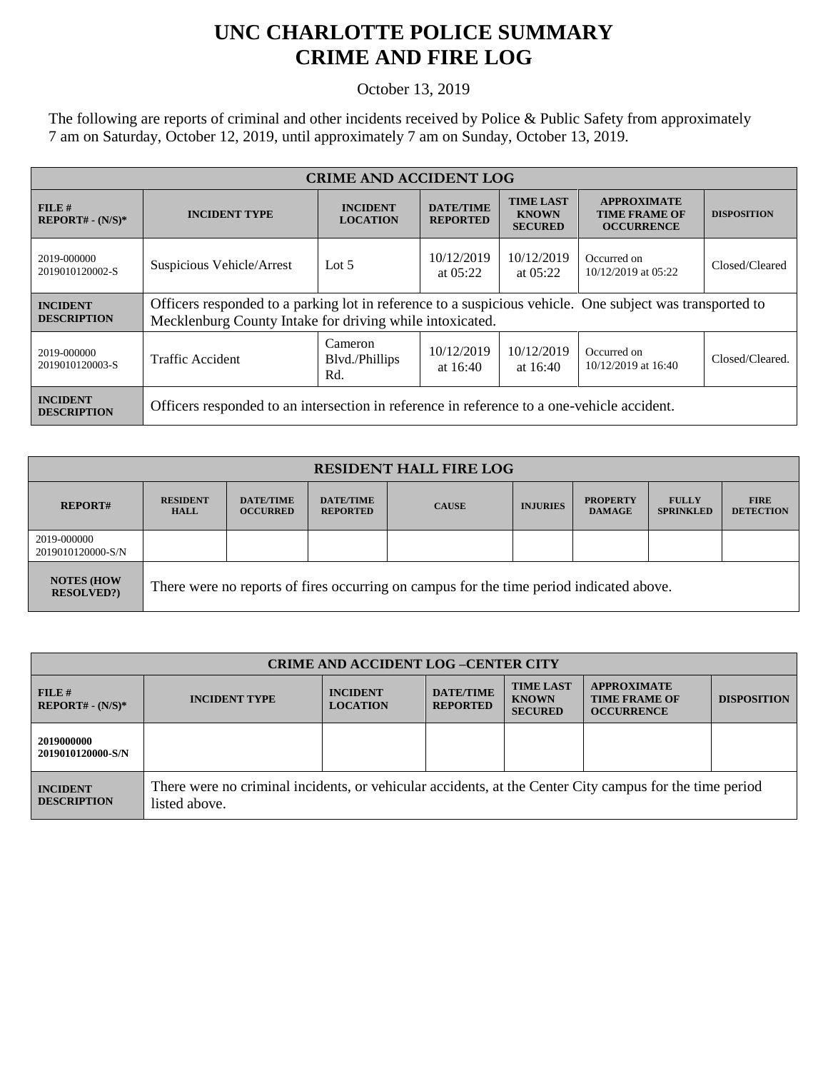## **UNC CHARLOTTE POLICE SUMMARY CRIME AND FIRE LOG**

October 13, 2019

The following are reports of criminal and other incidents received by Police & Public Safety from approximately 7 am on Saturday, October 12, 2019, until approximately 7 am on Sunday, October 13, 2019.

| <b>CRIME AND ACCIDENT LOG</b>         |                                                                                                                                                                      |                                    |                                     |                                                    |                                                                 |                    |  |
|---------------------------------------|----------------------------------------------------------------------------------------------------------------------------------------------------------------------|------------------------------------|-------------------------------------|----------------------------------------------------|-----------------------------------------------------------------|--------------------|--|
| FILE#<br>$REPORT# - (N/S)*$           | <b>INCIDENT TYPE</b>                                                                                                                                                 | <b>INCIDENT</b><br><b>LOCATION</b> | <b>DATE/TIME</b><br><b>REPORTED</b> | <b>TIME LAST</b><br><b>KNOWN</b><br><b>SECURED</b> | <b>APPROXIMATE</b><br><b>TIME FRAME OF</b><br><b>OCCURRENCE</b> | <b>DISPOSITION</b> |  |
| 2019-000000<br>2019010120002-S        | Suspicious Vehicle/Arrest                                                                                                                                            | Lot $5$                            | 10/12/2019<br>at $05:22$            | 10/12/2019<br>at $05:22$                           | Occurred on<br>10/12/2019 at 05:22                              | Closed/Cleared     |  |
| <b>INCIDENT</b><br><b>DESCRIPTION</b> | Officers responded to a parking lot in reference to a suspicious vehicle. One subject was transported to<br>Mecklenburg County Intake for driving while intoxicated. |                                    |                                     |                                                    |                                                                 |                    |  |
| 2019-000000<br>2019010120003-S        | Traffic Accident                                                                                                                                                     | Cameron<br>Blvd./Phillips<br>Rd.   | 10/12/2019<br>at $16:40$            | 10/12/2019<br>at $16:40$                           | Occurred on<br>$10/12/2019$ at 16:40                            | Closed/Cleared.    |  |
| <b>INCIDENT</b><br><b>DESCRIPTION</b> | Officers responded to an intersection in reference in reference to a one-vehicle accident.                                                                           |                                    |                                     |                                                    |                                                                 |                    |  |

| <b>RESIDENT HALL FIRE LOG</b>         |                                                                                         |                                     |                                     |              |                 |                                  |                                  |                                 |
|---------------------------------------|-----------------------------------------------------------------------------------------|-------------------------------------|-------------------------------------|--------------|-----------------|----------------------------------|----------------------------------|---------------------------------|
| <b>REPORT#</b>                        | <b>RESIDENT</b><br><b>HALL</b>                                                          | <b>DATE/TIME</b><br><b>OCCURRED</b> | <b>DATE/TIME</b><br><b>REPORTED</b> | <b>CAUSE</b> | <b>INJURIES</b> | <b>PROPERTY</b><br><b>DAMAGE</b> | <b>FULLY</b><br><b>SPRINKLED</b> | <b>FIRE</b><br><b>DETECTION</b> |
| 2019-000000<br>2019010120000-S/N      |                                                                                         |                                     |                                     |              |                 |                                  |                                  |                                 |
| <b>NOTES (HOW</b><br><b>RESOLVED?</b> | There were no reports of fires occurring on campus for the time period indicated above. |                                     |                                     |              |                 |                                  |                                  |                                 |

| <b>CRIME AND ACCIDENT LOG -CENTER CITY</b> |                                                                                                                          |                                    |                                     |                                                    |                                                                 |                    |
|--------------------------------------------|--------------------------------------------------------------------------------------------------------------------------|------------------------------------|-------------------------------------|----------------------------------------------------|-----------------------------------------------------------------|--------------------|
| FILE#<br>$REPORT# - (N/S)*$                | <b>INCIDENT TYPE</b>                                                                                                     | <b>INCIDENT</b><br><b>LOCATION</b> | <b>DATE/TIME</b><br><b>REPORTED</b> | <b>TIME LAST</b><br><b>KNOWN</b><br><b>SECURED</b> | <b>APPROXIMATE</b><br><b>TIME FRAME OF</b><br><b>OCCURRENCE</b> | <b>DISPOSITION</b> |
| 2019000000<br>2019010120000-S/N            |                                                                                                                          |                                    |                                     |                                                    |                                                                 |                    |
| <b>INCIDENT</b><br><b>DESCRIPTION</b>      | There were no criminal incidents, or vehicular accidents, at the Center City campus for the time period<br>listed above. |                                    |                                     |                                                    |                                                                 |                    |